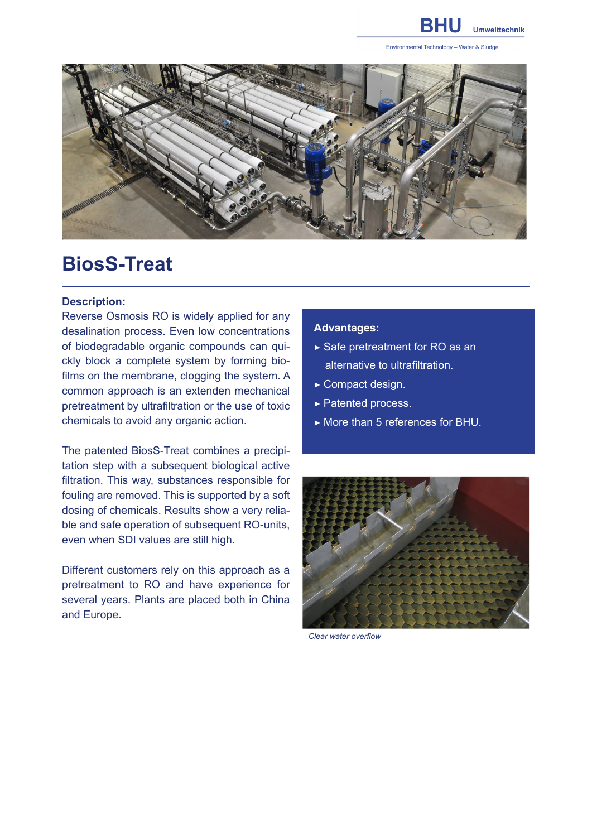

Environmental Technology - Water & Sludge



## **BiosS-Treat**

## **Description:**

Reverse Osmosis RO is widely applied for any desalination process. Even low concentrations of biodegradable organic compounds can quickly block a complete system by forming biofilms on the membrane, clogging the system. A common approach is an extenden mechanical pretreatment by ultrafiltration or the use of toxic chemicals to avoid any organic action.

The patented BiosS-Treat combines a precipitation step with a subsequent biological active filtration. This way, substances responsible for fouling are removed. This is supported by a soft dosing of chemicals. Results show a very reliable and safe operation of subsequent RO-units, even when SDI values are still high.

Different customers rely on this approach as a pretreatment to RO and have experience for several years. Plants are placed both in China and Europe.

## **Advantages:**

- ▶ Safe pretreatment for RO as an alternative to ultrafiltration.
- ▶ Compact design.
- ▶ Patented process.
- ▶ More than 5 references for BHU.



*Clear water overflow*